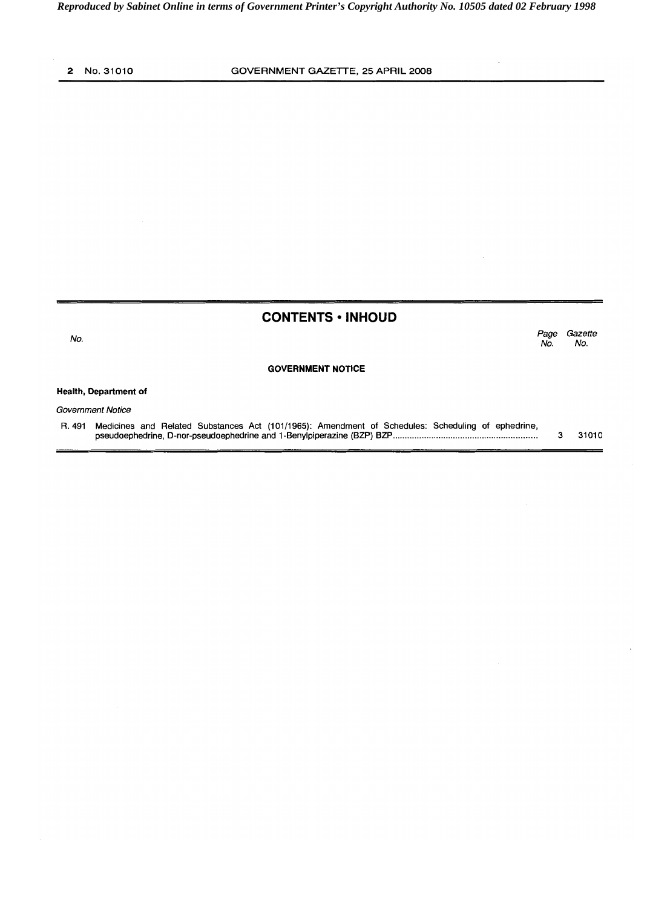**No.** 

## **CONTENTS · INHOUD**

**Page Gazette No. No.** 

#### **GOVERNMENT NOTICE**

#### **Health, Department of**

**Government Notice** 

**R. 491 Medicines and Related Substances Act (101/1965): Amendment of Schedules: Scheduling of ephedrine, pseudoephedrine, D-nor-pseudoephedrine and 1 -Benylpiperazine (BZP) BZP** ........................................................ **3 31 01 0**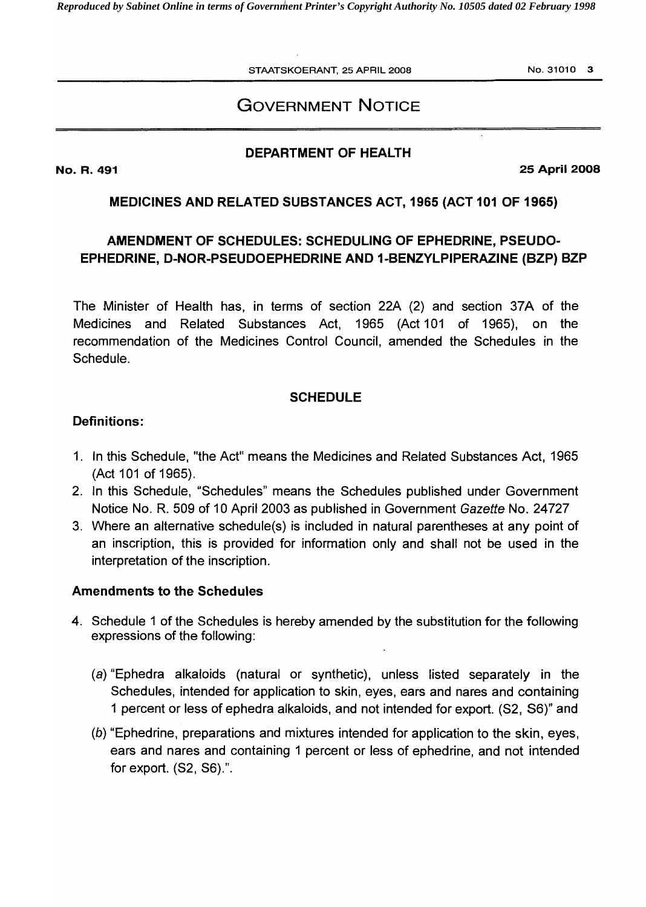*Reproduced by Sabinet Online in terms of Government Printer's Copyright Authority No. 10505 dated 02 February 1998* 

**STAATSKOERANT, 25 APRIL 2008 No. 31010 3** 

# **GOVERNMENT NOTICE**

## **DEPARTMENT OF HEALTH**

**No. R. 491** 

**25 April 2008** 

## **MEDICINES AND RELATED SUBSTANCES ACT, 1965 (ACT 101 OF 1965)**

# **AMENDMENT OF SCHEDULES: SCHEDULING OF EPHEDRINE, PSEUDO-EPHEDRINE, D-NOR-PSEUDOEPHEDRINE AND 1-BENZYLPIPERAZINE (BZP) BZP**

The Minister of Health has, in terms of section 22A (2) and section 37A of the Medicines and Related Substances Act, 1965 (Act 101 of 1965), on the recommendation of the Medicines Control Council, amended the Schedules in the Schedule.

### **SCHEDULE**

## **Definitions:**

- 1. In this Schedule, "the Act" means the Medicines and Related Substances Act, 1965 (Act 101 of 1965).
- 2. In this Schedule, "Schedules" means the Schedules published under Government Notice No. R. 509 of 10 April 2003 as published in Government Gazette No. 24727
- Where an alternative schedule(s) is included in natural parentheses at any point of an inscription, this is provided for information only and shall not be used in the interpretation of the inscription.

## **Amendments to the Schedules**

- 4. Schedule 1 of the Schedules is hereby amended by the substitution for the following expressions of the following:
	- (a) "Ephedra alkaloids (natural or synthetic), unless listed separately in the Schedules, intended for application to skin, eyes, ears and nares and containing 1 percent or less of ephedra alkaloids, and not intended for export. (S2, **S6)"** and
	- (b) "Ephedrine, preparations and mixtures intended for application to the skin, eyes, ears and nares and containing 1 percent or less of ephedrine, and not intended for export.  $(S2, S6)$ .".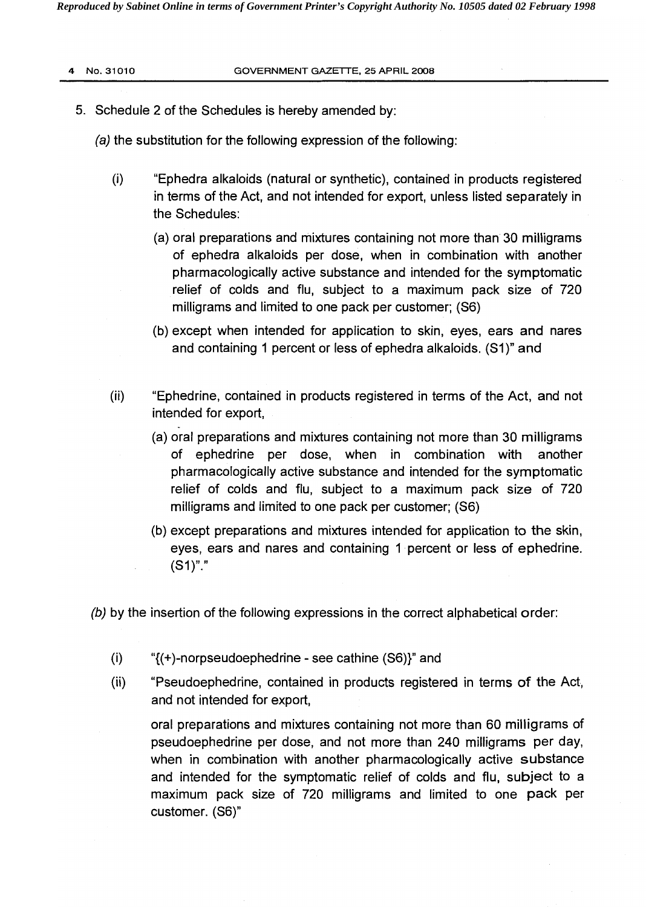*Reproduced by Sabinet Online in terms of Government Printer's Copyright Authority No. 10505 dated 02 February 1998* 

- 5. Schedule 2 of the Schedules is hereby amended by:
	- (a) the substitution for the following expression of the following:
		- (0 "Ephedra alkaloids (natural or synthetic), contained in products registered in terms of the Act, and not intended for export, unless listed separately in the Schedules:
			- (a) oral preparations and mixtures containing not more than 30 milligrams of ephedra alkaloids per dose, when in combination with another pharmacologically active substance and intended for the symptomatic relief of colds and flu, subject to a maximum pack size of 720 milligrams and limited to one pack per customer; (S6)
			- (b) except when intended for application to skin, eyes, ears and nares<br>and containing 1 percent or less of ephedra alkaloids. (S1)" and
		- $(ii)$ "Ephedrine, contained in products registered in terms of the Act, and not intended for export,
			- (a) oral preparations and mixtures containing not more than 30 milligrams of ephedrine per dose, when in combination with another pharmacologically active substance and intended for the symptomatic relief of colds and flu, subject to a maximum pack size of 720 milligrams and limited to one pack per customer; (S6)
			- (b) except preparations and mixtures intended for application to the skin, eyes, ears and nares and containing I percent or less of ephedrine. eyes, ears and nares and containing 1 percent or less of ephedrine.<br>(S1)"."
	- (b) by the insertion of the following expressions in the correct alphabetical order:
		- (i) "{(+)-norpseudoephedrine see cathine (S6))" and
		- (ii) "Pseudoephedrine, contained in products registered in terms of the Act, and not intended for export,

oral preparations and mixtures containing not more than 60 milligrams of pseudoephedrine per dose, and not more than 240 milligrams per day, when in combination with another pharmacologically active substance and intended for the symptomatic relief of colds and flu, subject to a maximum pack size of 720 milligrams and limited to one pack per customer. (S6)"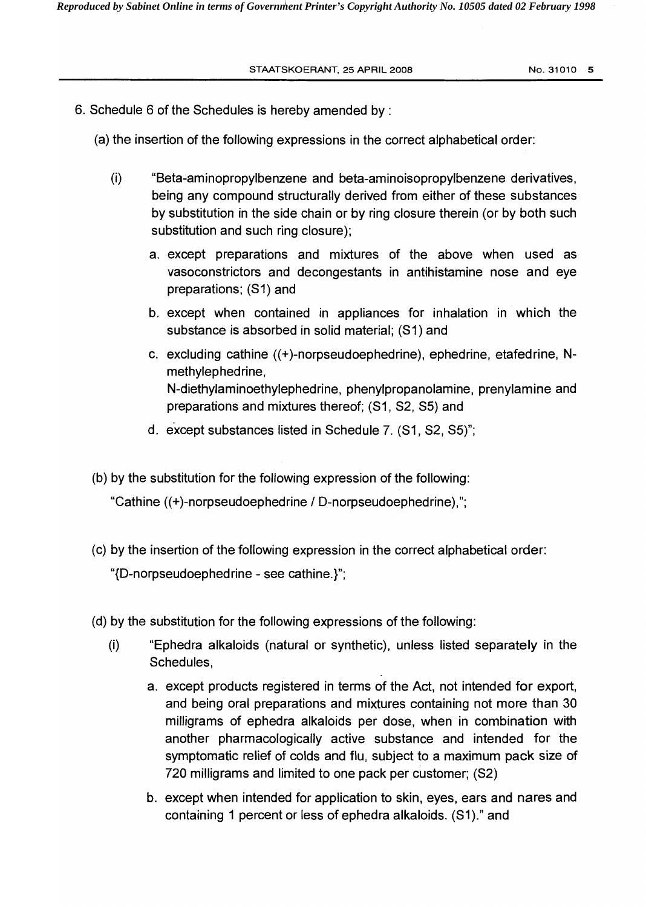- 6. Schedule 6 of the Schedules is hereby amended by :
	- (a) the insertion of the following expressions in the correct alphabetical order:
		- $(i)$ "Beta-aminopropylbenzene and beta-aminoisopropylbenzene derivatives, being any compound structurally derived from either of these substances by substitution in the side chain or by ring closure therein (or by both such substitution and such ring closure);
			- a. except preparations and mixtures of the above when used as vasoconstrictors and decongestants in antihistamine nose and eye preparations; (SI) and
			- b. except when contained in appliances for inhalation in which the substance is absorbed in solid material; (SI) and
			- c. excluding cathine ((+)-norpseudoep hedrine), ephedrine, etafed rine, Nmethylephedrine, N-diethylaminoethylephedrine, phenylpropanolamine, prenylamine and preparations and mixtures thereof; (S1, S2, S5) and
			- d. except substances listed in Schedule 7. (S1, S2, S5)";
	- (b) by the substitution for the following expression of the following:

"Cathine ((+)-norpseudoephedrine 1 D-norpseudoephedrine),";

- (c) by the insertion of the following expression in the correct alphabetical order: "{D-norpseudoephedrine - see cathine.)";
- (d) by the substitution for the following expressions of the following:
	- (i) "Ephedra alkaloids (natural or synthetic), unless listed separately in the Schedules,
		- a. except products registered in terms of the Act, not intended for export, and being oral preparations and mixtures containing not more than 30 milligrams of ephedra alkaloids per dose, when in combination with another pharmacologically active substance and intended for the symptomatic relief of colds and flu, subject to a maximum pack size of 720 milligrams and limited to one pack per customer; (S2)
		- b. except when intended for application to skin, eyes, ears and nares and containing I percent or less of ephedra alkaloids. (SI)." and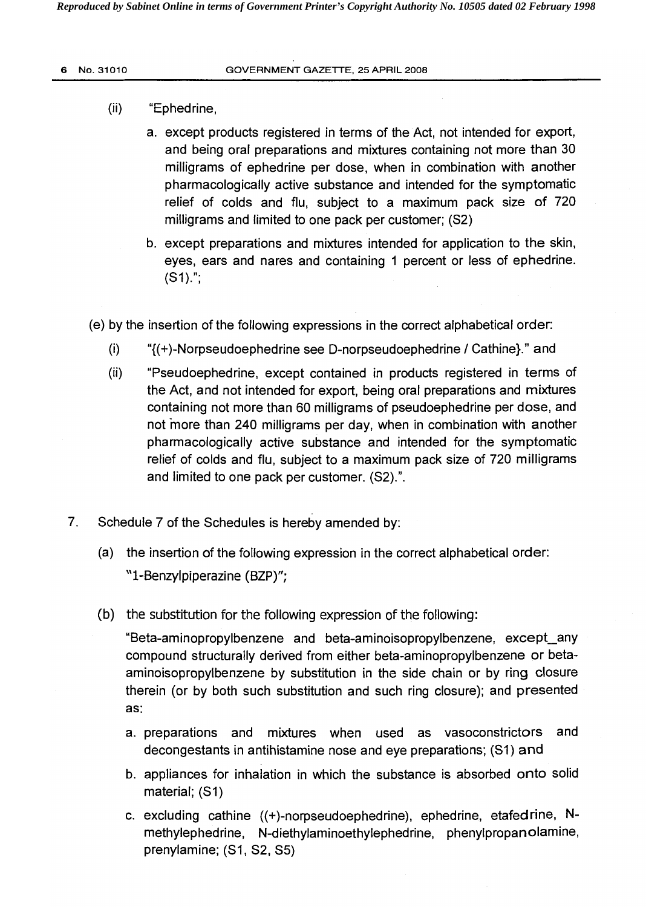#### $(ii)$ "Ephedrine,

- a. except products registered in terms of the Act, not intended for export, and being oral preparations and mixtures containing not more than 30 milligrams of ephedrine per dose, when in combination with another pharmacologically active substance and intended for the symptomatic relief of colds and flu, subject to a maximum pack size of 720 milligrams and limited to one pack per customer; (S2)
- b. except preparations and mixtures intended for application to the skin, eyes, ears and nares and containing 1 percent or less of ephedrine.  $(S1).$ ";
- (e) by the insertion of the following expressions in the correct alphabetical order:
	- (i)  ${\gamma_{(+)}}$ -Norpseudoephedrine see D-norpseudoephedrine / Cathine}." and
	- (ii) "Pseudoephedrine, except contained in products registered in terms of the Act, and not intended for export, being oral preparations and mixtures containing not more than 60 milligrams of pseudoephedrine per dose, and not more than 240 milligrams per day, when in combination with another pharmacologically active substance and intended for the symptomatic relief of colds and flu, subject to a maximum pack size of 720 milligrams and limited to one pack per customer. (S2).".
- 7. Schedule 7 of the Schedules is hereby amended by:
	- (a) the insertion of the following expression in the correct alphabetical order: "1-Benzylpiperazine (BZP)";
	- (b) the substitution for the following expression of the following:

"Beta-aminopropylbenzene and beta-aminoisopropylbenzene, except\_any compound structurally derived from either beta-aminopropylbenzene or betaaminoisopropylbenzene by substitution in the side chain or by ring closure therein (or by both such substitution and such ring closure); and presented as:

- a. preparations and mixtures when used as vasoconstrictors and decongestants in antihistamine nose and eye preparations; (SI) **and**
- b. appliances for inhalation in which the substance is absorbed onto solid material; (SI)
- c. excluding cathine ((+)-norpseudoephedrine), ephedrine, etafedrine, Nmethylephedrine, N-diethylaminoethylephedrine, phenylpropanolamine, prenylamine; (SI, S2, S5)